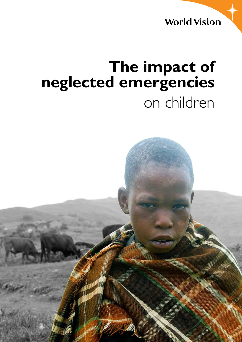**World Vision** 

# **The impact of neglected emergencies**  on children

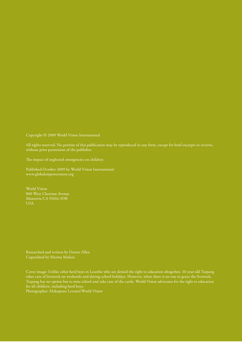Copyright © 2009 World Vision International

All rights reserved. No portion of this publication may be reproduced in any form, except for brief excerpts in reviews, without prior permission of the publisher.

The impact of neglected emergencies on children

Published October 2009 by World Vision International [www.globalempowerment.org](http://www.globalempowerment.org)

World Vision 800 West Chestnut Avenue Monrovia CA 91016-3198 USA

Researched and written by Denise Allen Copyedited by Marina Mafani

Cover image: Unlike other herd boys in Lesotho who are denied the right to education altogether, 10-year-old Tsepang takes care of livestock on weekends and during school holidays. However, when there is no one to graze the livestock, Tsepang has no option but to miss school and take care of the cattle. World Vision advocates for the right to education for all children, including herd boys.

Photographer: Makopano Letsatsi/World Vision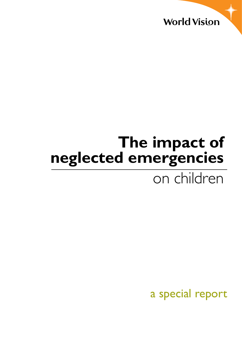

# **The impact of neglected emergencies**  on children

a special report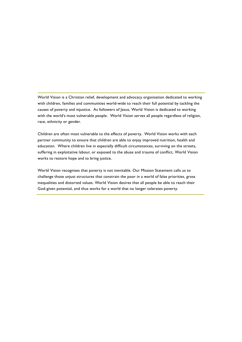World Vision is a Christian relief, development and advocacy organisation dedicated to working with children, families and communities world-wide to reach their full potential by tackling the causes of poverty and injustice. As followers of Jesus, World Vision is dedicated to working with the world's most vulnerable people. World Vision serves all people regardless of religion, race, ethnicity or gender.

Children are often most vulnerable to the effects of poverty. World Vision works with each partner community to ensure that children are able to enjoy improved nutrition, health and education. Where children live in especially difficult circumstances, surviving on the streets, suffering in exploitative labour, or exposed to the abuse and trauma of conflict, World Vision works to restore hope and to bring justice.

World Vision recognises that poverty is not inevitable. Our Mission Statement calls us to challenge those unjust structures that constrain the poor in a world of false priorities, gross inequalities and distorted values. World Vision desires that all people be able to reach their God-given potential, and thus works for a world that no longer tolerates poverty.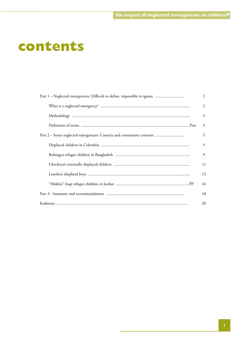## **contents**

| Part 1 - Neglected emergencies: Difficult to define, impossible to ignore | 2  |
|---------------------------------------------------------------------------|----|
|                                                                           | 2  |
|                                                                           | 3  |
|                                                                           | 3  |
| Part 2 – Some neglected emergencies: Country and community contexts       | 5  |
|                                                                           | 5  |
|                                                                           | 9  |
|                                                                           | 11 |
|                                                                           | 13 |
|                                                                           | 16 |
|                                                                           | 18 |
|                                                                           | 20 |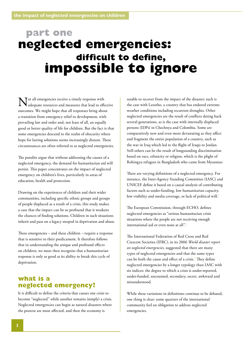## <span id="page-5-0"></span>**part one neglected emergencies: difficult to define, impossible to ignore**

Tot all emergencies receive a timely response with adequate resources and measures that lead to effective outcomes. We might hope that all responses bring about a transition from emergency relief to development, with prevailing law and order and, not least of all, an equally good or better quality of life for children. But the fact is that some emergencies descend to the realm of obscurity where hope for lasting solutions seems increasingly distant. These circumstances are often referred to as neglected emergencies.

The pundits argue that without addressing the causes of a neglected emergency, the demand for humanitarian aid will persist. This paper concentrates on the impact of neglected emergency on children's lives, particularly in areas of education, health and protection.

Drawing on the experiences of children and their wider communities, including specific ethnic groups and groups of people displaced as a result of a crisis, this study makes a case that the impact can be so profound that it weakens the chances of finding solutions. Children in such situations inherit and pass on a legacy steeped in deprivation and abuse.

These emergencies – and these children – require a response that is sensitive to their predicament. It therefore follows that in understanding the unique and profound effects on children, we must then recognise that a humanitarian response is only as good as its ability to break this cycle of deprivation.

## **what is a neglected emergency?**

It is difficult to define the criteria that causes one crisis to become "neglected" while another remains (simply) a crisis. Neglected emergencies can begin as natural disasters where the poorest are most affected, and then the economy is

unable to recover from the impact of the disaster; such is the case with Lesotho, a country that has endured extreme weather conditions including recurrent droughts. Other neglected emergencies are the result of conflicts dating back several generations, as is the case with internally displaced persons (IDPs) in Chechnya and Colombia. Some are comparatively new and even more devastating as they affect and fragment the entire population of a country, such as the war in Iraq which led to the flight of Iraqis to Jordan. Still others can be the result of longstanding discrimination based on race, ethnicity or religion, which is the plight of Rohingya refugees in Bangladesh who came from Myanmar.

There are varying definitions of a neglected emergency. For instance, the Inter-Agency Standing Committee (IASC) and UNICEF define it based on a causal analysis of contributing factors such as under-funding, low humanitarian capacity, low visibility and media coverage, or lack of political will.<sup>1</sup>

The European Commission, through ECHO, defines neglected emergencies as "serious humanitarian crisis situations where the people are not receiving enough international aid or even none at all".2

The International Federation of Red Cross and Red Crescent Societies (IFRC), in its 2006 *World disaster report on neglected emergencies*, suggested that there are many types of neglected emergencies and that the same types can be both the cause and effect of a crisis. $3$  They define neglected emergencies by a longer typology than IASC with six indices: the degree to which a crisis is under-reported, under-funded, uncounted, secondary, secret, awkward and misunderstood.

While these variations in definitions continue to be debated, one thing is clear: some quarters of the international community feel an obligation to address neglected emergencies.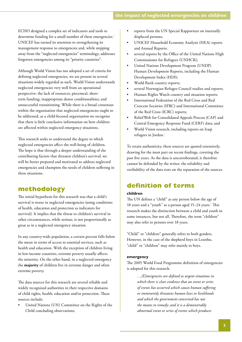<span id="page-6-0"></span>ECHO designed a complex set of indicators and tools to determine funding for a small number of these emergencies.<sup>4</sup> UNICEF has turned its attention to strengthening its management response to emergencies and, while stepping away from the "neglected emergencies" terminology, addresses forgotten emergencies among its "priority countries".

Although World Vision has not adopted a set of criteria for defining neglected emergencies, we are present in several situations widely regarded as such. World Vision understands neglected emergencies very well from an operational perspective: the lack of resources; piecemeal, shortterm funding; inappropriate donor conditionalities; and unsuccessful transitioning. While there is a broad consensus within the organisation that neglected emergencies ought to be addressed, as a child-focused organisation we recognise that there is little conclusive information on how children are affected within neglected emergency situations.

This research seeks to understand the degree to which neglected emergencies affect the well-being of children. The hope is that through a deeper understanding of the contributing factors that threaten children's survival, we will be better prepared and motivated to address neglected emergencies and champion the needs of children suffering in these situations.

## **methodology**

The initial hypothesis for this research was that a child's survival is worse in neglected emergencies (using conditions of health, education and protection as indicators for survival). It implies that the threat to children's survival in other circumstances, while serious, is not proportionally as great as in a neglected emergency situation.

In any country-wide population, a certain percent falls below the mean in terms of access to essential services, such as health and education. With the exception of children living in low-income countries, extreme poverty usually affects the minority. On the other hand, in a neglected emergency the **majority** of children live in extreme danger and often extreme poverty.

The data sources for this research are several reliable and widely recognised authorities in their respective domains of child rights, health, education and/or protection. These sources include:

United Nations (UN) Committee on the Rights of the Child concluding observations;

- reports from the UN Special Rapporteur on internally displaced persons;
- UNICEF Household Economy Analysis (HEA) reports and Annual Reports;
- several reports by the Office of the United Nations High Commissioner for Refugees (UNHCR);
- United Nations Development Program (UNDP) Human Development Reports, including the Human Development Index (HDI);
- World Bank country reports;
- several Norwegian Refugee Council studies and reports;
- Human Rights Watch country and situation reports;
- International Federation of the Red Cross and Red Crescent Societies (IFRC) and International Committee of the Red Cross (ICRC) reports;
- Relief Web for Consolidated Appeals Process (CAP) and Central Emergency Response Fund (CERF) data; and
- World Vision research, including reports on Iraqi refugees in Jordan.<sup>5</sup>

To retain authenticity, these sources are quoted extensively, drawing for the most part on recent findings, covering the past five years. As the data is uncorroborated, it therefore cannot be defended by the writer; the reliability and verifiability of the data rests on the reputation of the sources.

## **[definition of terms](#page-5-0)**

#### **children**

The UN defines a "child" as any person below the age of 18 years and a "youth" as a person aged 15–24 years.<sup>6</sup> This research makes the distinction between a child and youth in some instances, but not all. Therefore, the term "children" may also refer to persons over 18 years.

"Child" or "children" generally refers to both genders. However, in the case of the shepherd boys in Lesotho, "child" or "children" may refer mainly to boys.

#### **emergency**

The 2005 World Food Programme definition of emergencies is adopted for this research.

> *…[E]mergencies are defined as urgent situations in which there is clear evidence that an event or series of events has occurred which causes human suffering or imminently threatens human lives or livelihoods and which the government concerned has not the means to remedy; and it is a demonstrably abnormal event or series of events which produces*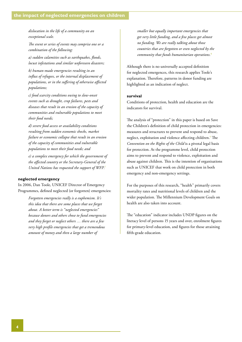<span id="page-7-0"></span>*dislocation in the life of a community on an exceptional scale.*

*The event or series of events may comprise one or a combination of the following:*

*a) sudden calamities such as earthquakes, floods, locust infestations and similar unforeseen disasters;*

*b) human-made emergencies resulting in an influx of refugees, or the internal displacement of populations, or in the suffering of otherwise affected populations;*

*c) food scarcity conditions owing to slow-onset events such as drought, crop failures, pests and diseases that result in an erosion of the capacity of communities and vulnerable populations to meet their food needs;*

*d) severe food access or availability conditions resulting from sudden economic shocks, market failure or economic collapse that result in an erosion of the capacity of communities and vulnerable populations to meet their food needs; and*

*e) a complex emergency for which the government of the affected country or the Secretary-General of the United Nations has requested the support of WFP.*<sup>7</sup>

#### **neglected emergency**

In 2006, Dan Toole, UNICEF Director of Emergency Programmes, defined neglected (or forgotten) emergencies:

> *Forgotten emergencies really is a euphemism. It's this idea that there are some places that we forget about. A better term is "neglected emergencies" because donors and others chose to fund emergencies and they forget or neglect others … there are a few very high profile emergencies that get a tremendous amount of money and then a large number of*

*smaller but equally important emergencies that get very little funding, and a few places get almost no funding. We are really talking about those countries that are forgotten or even neglected by the community that funds humanitarian operations.*<sup>8</sup>

Although there is no universally accepted definition for neglected emergences, this research applies Toole's explanation. Therefore, patterns in donor funding are highlighted as an indication of neglect.

#### **survival**

Conditions of protection, health and education are the indicators for survival.

The analysis of "protection" in this paper is based on Save the Children's definition of child protection in emergencies: measures and structures to prevent and respond to abuse, neglect, exploitation and violence affecting children.<sup>9</sup> The *Convention on the Rights of the Child* is a pivotal legal basis for protection. At the programme level, child protection aims to prevent and respond to violence, exploitation and abuse against children. This is the intention of organisations such as UNICEF that work on child protection in both emergency and non-emergency settings.

For the purposes of this research, "health" primarily covers mortality rates and nutritional levels of children and the wider population. The Millennium Development Goals on health are also taken into account.

The "education" indicator includes UNDP figures on the literacy level of persons 15 years and over, enrolment figures for primary-level education, and figures for those attaining fifth-grade education.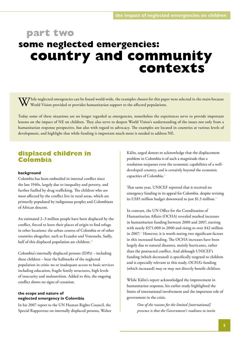# **part two some neglected emergencies: country and community contexts**

 $V\!J$ hile neglected emergencies can be found world-wide, the examples chosen for this paper were selected in the main because World Vision provided or provides humanitarian support to the affected populations.

Today some of these situations are no longer regarded as emergencies, nonetheless the experiences serve to provide important lessons on the impact of NE on children. They also serve to deepen World Vision's understanding of the issues not only from a humanitarian response perspective, but also with regard to advocacy. The examples are located in countries at various levels of development, and highlight that while funding is important much more is needed to address NE.

## **displaced children in Colombia**

#### **background**

Colombia has been embroiled in internal conflict since the late 1940s, largely due to inequality and poverty, and further fuelled by drug trafficking. The children who are most affected by the conflict live in rural areas, which are primarily populated by indigenous peoples and Colombians of African descent.

An estimated 2–3 million people have been displaced by the conflict, forced to leave their places of origin to find refuge in other locations: the urban centres of Colombia or of other countries altogether, such as Ecuador and Venezuela. Sadly, half of this displaced population are children.<sup>10</sup>

Colombia's internally displaced persons (IDPs) – including these children – bear the hallmarks of the neglected population in crisis: no or inadequate access to basic services including education, fragile family structures, high levels of insecurity and malnutrition. Added to this, the ongoing conflict shows no signs of cessation.

#### **the scope and nature of neglected emergency in Colombia**

In his 2007 report to the UN Human Rights Council, the Special Rapporteur on internally displaced persons, Walter

Kälin, urged donors to acknowledge that the displacement problem in Colombia is of such a magnitude that a resolution surpasses even the economic capabilities of a welldeveloped country, and is certainly beyond the economic capacities of Colombia.<sup>11</sup>

That same year, UNICEF reported that it received no emergency funding in its appeal for Colombia, despite revising its US\$5 million budget downward to just \$1.3 million.<sup>12</sup>

In contrast, the UN Office for the Coordination of Humanitarian Affairs (OCHA) revealed marked increases in humanitarian funding between 2000 and 2007, starting with nearly \$371,000 in 2000 and rising to over \$42 million in 2007.13 However, it is worth noting two significant factors in this increased funding. The OCHA increases have been largely due to natural disasters, mainly hurricanes, rather than the protracted conflict. And although UNICEF's funding (which decreased) is specifically targeted to children and is especially relevant to this study, OCHA's funding (which increased) may or may not directly benefit children.

While Kälin's report acknowledged the improvement in humanitarian response, his earlier study highlighted the limits of international involvement and the important role of government in the crisis.

*One of the reasons for the limited [international] presence is that the Government's readiness to invite*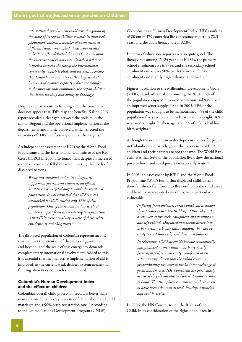*international involvement could risk abrogation by the State of its responsibilities towards its displaced population. Indeed, a number of authorities, at different levels, when asked about what needed to be done often deflected the onus for action onto the international community. Clearly a balance is needed between the role of the international community, which is vital, and the need to ensure that Colombia – a country with a high level of human and resource capacity – does not transfer to the international community the responsibilities that it has the duty and ability to discharge.*<sup>14</sup>

Despite improvements in funding and other resources, it does not appear that IDPs reap the benefits. Kälin's 2007 report revealed a clear gap between the policies in the capital Bogotá and the operational implementation at the departmental and municipal levels, which affected the capacities of IDPs to effectively exercise their rights.<sup>15</sup>

An independent assessment of IDPs by the World Food Programme and the International Committee of the Red Cross (ICRC) in 2005 also found that, despite an increased response, assistance fell short when meeting the needs of displaced persons.

> *While international and national agencies supplement government resources, all official assistance was targeted only towards the registered population. It was estimated that all State aid earmarked for IDPs reaches only 17% of that population. One of the reasons for low levels of assistance, apart from issues relating to registration, is that IDPs were not always aware of their rights, entitlements and obligations.*<sup>16</sup>

The displaced population of Colombia represent an NE that requires the attention of the national government and beyond, and the scale of this emergency demands complementary international involvement. Added to this, it is essential that the ineffective implementation of aid is improved, as the current weak delivery system means that funding often does not reach those in need.

#### **Colombia's Human Development Index and the effect on children**

Colombia's overall child protection record is better than many countries, with very low rates of child labour and child marriages and a 90% birth registration rate.<sup>17</sup> According to the United Nations Development Program (UNDP),

Colombia has a Human Development Index (HDI) ranking of 80 out of 179 countries; life expectancy at birth is 72.3 years and the adult literacy rate is 92.8%.<sup>18</sup>

In terms of education, reports are also quite good. The literacy rate among 15–24 year olds is 98%, the primary school enrolment rate is 87%, and the secondary school enrolment rate is over 50%, with the overall female enrolment rate slightly higher than that of males.<sup>19</sup>

Figures in relation to the Millennium Development Goals (MDG) standards are also promising. In 2004, 86% of the population enjoyed improved sanitation and 93% used an improved water supply.20 And in 2005, 13% of the population was thought to be malnourished, 7% of the child population five years old and under were underweight, 16% were under height for their age, and 9% of infants had low birth weights.<sup>21</sup>

Although the overall human development indices for people in Colombia are relatively good, the experiences of IDP children and their parents are not the same. The World Bank estimates that 64% of the population live below the national poverty line<sup>22</sup> and rural poverty is especially acute.<sup>23</sup>

In 2005, an assessment by ICRC and the World Food Programme (WFP) found that displaced children and their families, often forced to flee conflict in the rural areas and head to overcrowded city slums, were particularly vulnerable.

> *In fleeing from violence, rural households abandon their primary asset: landholdings. Other physical assets such as livestock, equipment and housing are also left behind. Displaced households arrive into urban areas with only cash, valuables that can be easily turned into cash, and their own labour.*

*In relocating, IDP households become economically marginalized as their skills, which are mostly farming-based, are not easily transferred to an urban setting. Given that the urban economy predominantly uses cash as the basis for exchange of goods and services, IDP households are particularly at risk if they do not always have disposable income to hand. This then places constraints on their access to basic necessities such as food, housing, education, and health services.*<sup>24</sup>

In 2006, the UN Committee on the Rights of the Child, in its consideration of the rights of children in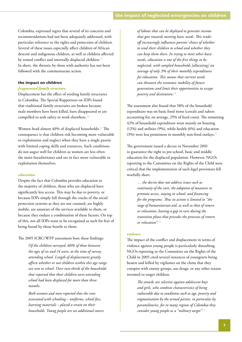Colombia, expressed regret that several of its concerns and recommendations had not been adequately addressed, with particular reference to the rights and protection of children. Several of these issues especially affect children of African descent and indigenous children, as well as children affected by armed conflict and internally displaced children.<sup>25</sup> In short, the rhetoric by those with authority has not been followed with the commensurate action.

#### **the impact on children**

#### *fragmented family structure*

Displacement has the effect of eroding family structures in Colombia. The Special Rapporteur on IDPs found that traditional family structures are broken because male members have been killed, have disappeared or are compelled to seek safety or work elsewhere.<sup>26</sup>

Women head almost 40% of displaced households.<sup>27</sup> The consequence is that children risk becoming more vulnerable to exploitation and neglect when they have a single parent with limited coping skills and resources. Such conditions do not augur well for children as women are less often the main breadwinners and are in fact more vulnerable to exploitation themselves.

#### *education*

Despite the fact that Colombia provides education to the majority of children, those who are displaced have significantly less access. This may be due to poverty, or because IDPs simply fall through the cracks of the social protection systems as they are not counted, are highly mobile, are unaware of the services available to them, or because they endure a combination of these factors. On top of this, not all IDPs want to be recognised as such for fear of being found by those hostile to them.

The 2005 ICRC/WFP assessment bore these findings:

*Of the children surveyed, 66% of those between the ages of six and 14 were, at the time of survey, attending school. Length of displacement greatly affects whether or not children within this age range are sent to school. Over two-thirds of the households that reported that their children were attending school had been displaced for more than three months.* 

*Both women and men reported that the costs associated with schooling – uniforms, school fees, learning materials – placed a strain on their households. Young people are an additional source* 

*of labour that can be deployed to generate income that goes towards meeting basic needs. This tradeoff increasingly influences parents' choice of whether to send their children to school and whether they can keep them there. In trying to meet other basic needs, education is one of the first things to be neglected, with sampled households [allocating] an average of only 3% of their monthly expenditures for education. This means that current needs can threaten the economic mobility of future generations and limit their opportunities to escape poverty and destitution.*<sup>28</sup>

The assessment also found that 58% of the household expenditure was on basic food items (cereals and tubers accounting for, on average, 25% of food costs). The remaining 42% of household expenditure went mainly on housing (12%) and utilities (9%), while health (6%) and education (3%) were less prominent in monthly non-food outlays.<sup>29</sup>

The government issued a decree in November 2001 to guarantee the right to pre-school, basic and middle education for the displaced population. However, NGOs reporting to the Committee on the Rights of the Child were critical that the implementation of such legal provisions fell woefully short.

> *… the decree does not address issues such as continuity of the care, the adoption of measures to promote access, staying in school, and financing for the programs. Thus its action is limited to "the stage of humanitarian aid, as well as that of return or relocation, leaving a gap in care during the transition phase that precedes the processes of return or relocation".*<sup>30</sup>

#### *violence*

The impact of the conflict and displacement in terms of violence against young people is particularly disturbing. NGOs reporting to the Committee on the Rights of the Child in 2005 cited several instances of youngsters being beaten and killed by vigilantes on the claim that they conspire with enemy groups, use drugs, or any other reason invented to target children.

> *The attacks are selective against adolescent boys and girls, who combine characteristics of being vulnerable due to conditions such as age, poverty and stigmatization by the armed parties, in particular by paramilitaries, for in many regions of Colombia they consider young people as a "military target".*31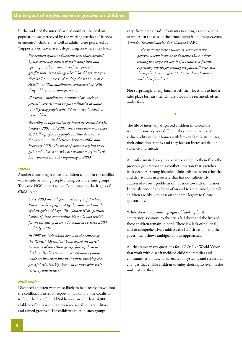In the midst of the internal armed conflict, the civilian population was perceived by the warring parties as "friends or enemies"; children, as well as adults, were perceived as "supporters or subversives", depending on where they lived.

> *Persecution against adolescents was characterized by the control of aspects of their daily lives and open signs of harassment, such as "pintas" or graffiti that stated things like: "Good boys and girls sleep at 7 p.m.; we send to sleep the bad ones at 8. AUC"*<sup>32</sup> *or "Kill marihuana consumers" or "Kill drug addicts or vicious persons".*

*The terms "marihuana consumer" or "vicious person" were resumed by paramilitaries as names to call young people who did not attend schools or were jobless …* 

*According to information gathered by several NGOs, between 2001 and 2004, there have been more than 250 killings of young people in Altos de Cazucá; 59 were committed between January 2000 and February 2001. The wave of violence against boys, girls and adolescents who are socially marginalized has worsened since the beginning of 2003.*<sup>33</sup>

#### *suicide*

Another disturbing feature of children caught in the conflict was suicide by young people among certain ethnic groups. The same NGO report to the Committee on the Rights of Child stated:

> *Since 2003 the indigenous ethnic group Embera Katío… is being affected by the continued suicide of their girls and boys. The "Jaibanás" or spiritual leaders of these communities blame "a bad spirit" for the suicides of at least 14 children between 2003 and July 2004 …*

*In 1997 the Colombian army, in the context of the "Genesis Operation" bombarded the sacred territories of this ethnic group, forcing them to displace. By the same time, paramilitary groups made an incursion into their lands, breaking the peaceful relationship they used to have with their territory and nature.*<sup>34</sup>

#### *child soldiers*

Displaced children were most likely to be directly drawn into the conflict. In its 2004 report on Colombia, the Coalition to Stop the Use of Child Soldiers estimated that 14,000 children of both sexes had been recruited to paramilitary and armed groups.<sup>35</sup> The children's roles in such groups

vary: from being paid informants to acting as combatants or mules. In the case of the armed opposition group *Fuerzas Armadas Revolucionarias de Colombia* (FARC):

> *…the majority were volunteers, some escaping poverty, unemployment or domestic abuse, others seeking to avenge the death of a relative or friend. A primary motive for joining the paramilitaries was the regular pay on offer. Most were denied contact with their families.*<sup>36</sup>

Not surprisingly, many families left their locations to find a safer place for fear their children would be recruited, often under force.

§

The life of internally displaced children in Colombia is unquestionably very difficult: they endure increased vulnerability in their homes with broken family structures, their education suffers, and they face an increased risk of violence and suicide.

An unfortunate legacy has been passed on to them from the previous generations in a conflict situation that stretches back decades. Strong historical links exist between ethnicity and deprivation in a society that has not sufficiently addressed its own problems of injustice towards minorities. In the absence of any hope of an end to the turmoil, today's children are likely to pass on the same legacy to future generations.

While there are promising signs of funding for this emergency, solutions to the crisis fall short and the lives of these children remain in peril. There is a lack of political will to comprehensively address the IDP situation, and the government shows ambiguity in its approaches.

All this raises many questions for NGOs like World Vision that work with disenfranchised children, families and communities on how to advocate for systemic and structural changes that enable children to enjoy their rights even in the midst of conflict.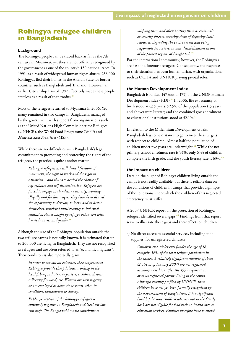## <span id="page-12-0"></span>**Rohingya refugee children in Bangladesh**

#### **background**

The Rohingya people can be traced back as far as the 7th century in Myanmar, yet they are not officially recognised by the government as one of the country's 130 national races. In 1991, as a result of widespread human rights abuses, 258,000 Rohingyas fled their homes in the Akaran State for border countries such as Bangladesh and Thailand. However, an earlier Citizenship Law of 1982 effectively made these people stateless as a result of that exodus.<sup>37</sup>

Most of the refugees returned to Myanmar in 2006. Yet many remained in two camps in Bangladesh, managed by the government with support from organisations such as the United Nations High Commissioner for Refugees (UNHCR), the World Food Programme (WFP) and *Médecins Sans Frontières* (MSF).

While there are no difficulties with Bangladesh's legal commitment to promoting and protecting the rights of the refugees, the practice is quite another matter :

> *Rohingya refugees are still denied freedom of movement, the right to work and the right to education – and thus are denied the chance of self-reliance and self-determination. Refugees are forced to engage in clandestine activity, working illegally and for low wages. They have been denied the opportunity to develop, to learn and to better themselves, restricted until recently to informal education classes taught by refugee volunteers with limited courses and grades.*<sup>38</sup>

Although the size of the Rohingya population outside the two refugee camps is not fully known, it is estimated that up to 200,000 are living in Bangladesh. They are not recognised as refugees and are often referred to as "economic migrants". Their condition is also reportedly grim.

> *In order to eke out an existence, these unprotected Rohingya provide cheap labour, working in the local fishing industry, as porters, rickshaw drivers, collecting firewood, etc. Women are seen begging or are employed as domestic servants, often in conditions tantamount to slavery.*

*Public perception of the Rohingya refugees is extremely negative in Bangladesh and local tensions run high. The Bangladeshi media contribute to* 

*vilifying them and often portray them as criminals or security threats, accusing them of depleting local resources, degrading the environment and being responsible for socio-economic destabilization in one of the poorest regions of Bangladesh.*<sup>39</sup>

For the international community, however, the Rohingyas are first and foremost refugees. Consequently, the response to their situation has been humanitarian, with organisations such as OCHA and UNHCR playing pivotal roles.

#### **the Human Development Index**

Bangladesh is ranked 147 (out of 179) on the UNDP Human Development Index (HDI).<sup>40</sup> In 2006, life expectancy at birth stood at 63.5 years; 52.5% of the population (15 years and above) were literate; and the combined gross enrolment to educational institutions stood at 52.1%.<sup>41</sup>

In relation to the Millennium Development Goals, Bangladesh has some distance to go to meet these targets with respect to children. Almost half the population of children under five years are underweight.<sup>42</sup> While the net primary school enrolment rate is 94%, only 65% of children complete the fifth grade, and the youth literacy rate is 63%.<sup>43</sup>

#### **the impact on children**

Data on the plight of Rohingya children living outside the camps is not readily available, but there is reliable data on the conditions of children in camps that provides a glimpse of the conditions under which the children of this neglected emergency must suffer.

A 2007 UNHCR report on the protection of Rohingya refugees identified several gaps.44 Findings from that report serve to illustrate those gaps and their effects on children:

a) No direct access to essential services, including food supplies, for unregistered children

> *Children and adolescents (under the age of 18) comprise 56% of the total refugee population in the camps. A relatively significant number of them (2,461 as of January 2007) are not registered as many were born after the 1992 registration or to unregistered parents living in the camps. Although recently profiled by UNHCR, these children have not yet been formally recognized by the [Government of Bangladesh]. It is a significant hardship because children who are not in the family book are not eligible for food rations, health care or education services. Families therefore have to stretch*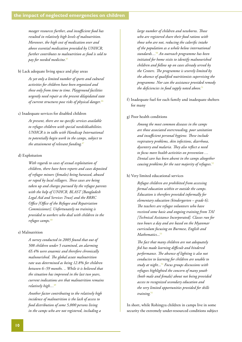<span id="page-13-0"></span>*meager resources further, and insufficient food has resulted in relatively high levels of malnutrition. Moreover, the high cost of medication over and above essential medication provided by UNHCR, further contributes to malnutrition as food is sold to pay for needed medicine.*<sup>45</sup>

#### b) Lack adequate living space and play areas

*As yet only a limited number of sports and cultural activities for children have been organized and these only from time to time. Playground facilities urgently need repair as the present dilapidated state of current structures pose risks of physical danger.*<sup>46</sup>

#### c) Inadequate services for disabled children

*At present, there are no specific services available to refugee children with special needs/disabilities. UNHCR is in talks with Handicap International to potentially begin work in the camps, subject to the attainment of relevant funding.*<sup>47</sup>

#### d) Exploitation

*With regards to cases of sexual exploitation of children, there have been reports and cases deposited of refugee minors (females) being harassed, abused or raped by local villagers. These cases are being taken up and charges pursued by the refugee parents with the help of UNHCR, BLAST [Bangladesh Legal Aid and Services Trust] and the RRRC Office [Office of the Refugee and Repatriation Commissioner]. Unfortunately no training is provided to workers who deal with children in the refugee camps.*<sup>48</sup>

#### e) Malnutrition

*A survey conducted in 2005 found that out of 508 children under 5 examined, an alarming 65.4% were anaemic and therefore chronically malnourished. The global acute malnutrition rate was determined as being 12.8% for children between 6–59 months. .. While it is believed that the situation has improved in the last two years, current indications are that malnutrition remains relatively high…*<sup>49</sup>

*Another factor contributing to the relatively high incidence of malnutrition is the lack of access to food distribution of some 5,000 persons living in the camps who are not registered, including a* 

*large number of children and newborns. Those who are registered share their food rations with those who are not, reducing the calorific intake of the population as a whole below international standards…*<sup>50</sup> *An outreach programme has been initiated for home visits to identify malnourished children and follow up on cases already served by the Centers. The programme is severely limited by the absence of qualified nutritionists supervising the programme. Nor can the assistance provided remedy the deficiencies in food supply noted above.*<sup>51</sup>

f) Inadequate fuel for each family and inadequate shelters for many

#### g) Poor health conditions

*Among the most common diseases in the camps are those associated overcrowding, poor sanitation and insufficient personal hygiene. These include respiratory problems, skin infections, diarrhoea, dysentery and malaria. They also reflect a need to focus more health activities on prevention … Dental care has been absent in the camps altogether causing problems for the vast majority of refugees.*<sup>52</sup>

#### h) Very limited educational services

*Refugee children are prohibited from accessing formal education within or outside the camps. Education is therefore provided informally for elementary education (kindergarten – grade 6). The teachers are refugee volunteers who have received some basic and ongoing training from TAI [Technical Assistance Incorporated]. Classes run for two hours a day and are based on the Myanmar curriculum focusing on Burmese, English and Mathematics...*<sup>53</sup>

*The fact that many children are not adequately fed has made learning difficult and hindered performance. The absence of lighting is also not conducive to learning for children are unable to study at night...*<sup>54</sup> *Focus groups discussions with refugees highlighted the concern of many youth (both male and female) about not being provided access to recognized secondary education and the very limited opportunities provided for skills training.*<sup>55</sup>

In short, while Rohingya children in camps live in some security the extremely under-resourced conditions subject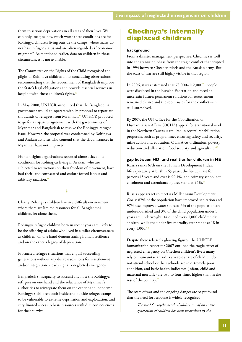them to serious deprivations in all areas of their lives. We can only imagine how much worse these conditions are for Rohingya children living outside the camps, where many do not have refugee status and are often regarded as "economic migrants". As mentioned earlier, data on children in these circumstances is not available.

The Committee on the Rights of the Child recognised the plight of Rohingya children in its concluding observations, recommending that the Government of Bangladesh improve the State's legal obligations and provide essential services in keeping with these children's rights.<sup>56</sup>

In May 2008, UNHCR announced that the Bangladeshi government would co-operate with its proposal to repatriate thousands of refugees from Myanmar.<sup>57</sup> UNHCR proposed to go for a tripartite agreement with the governments of Myanmar and Bangladesh to resolve the Rohingya refugee issue. However, the proposal was condemned by Rohingya and Arakan activists who contend that the circumstances in Myanmar have not improved.

Human rights organisations reported almost slave-like conditions for Rohingyas living in Arakan, who are subjected to restrictions on their freedom of movement, have had their land confiscated and endure forced labour and arbitrary taxation.<sup>58</sup>

#### §

Clearly Rohingya children live in a difficult environment where there are limited resources for all Bangladeshi children, let alone them.

Rohingya refugee children born in recent years are likely to be the offspring of adults who lived in similar circumstances as children, on one hand demonstrating human resilience and on the other a legacy of deprivation.

Protracted refugee situations that engulf succeeding generations without any durable solutions for resettlement and/or integration clearly signal a neglected emergency.

Bangladesh's incapacity to successfully host the Rohingya refugees on one hand and the reluctance of Myanmar's authorities to reintegrate them on the other hand, condemn Rohingya's children both inside and outside refugee camps to be vulnerable to extreme deprivation and exploitation, and very limited access to basic resources with dire consequences for their survival.

## **Chechnya's internally displaced children**

#### **background**

From a disaster management perspective, Chechnya is well into the transition phase from the tragic conflict that erupted in 1994 between Chechen rebels and the Russian army. But the scars of war are still highly visible in that region.

In 2006, it was estimated that  $78,000-112,000^{59}$  people were displaced in the Russian Federation and faced an uncertain future; permanent solutions for resettlement remained elusive and the root causes for the conflict were still unresolved.

By 2007, the UN Office for the Coordination of Humanitarian Affairs (OCHA) appeal for transitional work in the Northern Caucasus resulted in several rehabilitation proposals, such as programmes ensuring safety and security, mine action and education, OCHA co-ordination, poverty reduction and alleviation, food security and agriculture.<sup>60</sup>

#### **gap between HDI and realities for children in NE**

Russia ranks 67th on the Human Development Index: life expectancy at birth is 65 years, the literacy rate for persons 15 years and over is 99.4%, and primary school net enrolment and attendance figures stand at 95%.<sup>61</sup>

Russia appears set to meet its Millennium Development Goals: 87% of the population have improved sanitation and 97% use improved water sources; 3% of the population are under-nourished and 3% of the child population under 5 years are underweight; 14 out of every 1,000 children die at birth, while the under-five mortality rate stands at 18 in every 1,000.<sup>62</sup>

Despite these relatively glowing figures, the UNICEF humanitarian report for 2007 outlined the tragic effect of neglected emergency on Chechen children's lives: many rely on humanitarian aid, a sizeable share of children do not attend school or their schools are in extremely poor condition, and basic health indicators (infant, child and maternal mortally) are two to four times higher than in the rest of the country.<sup>63</sup>

The scars of war and the ongoing danger are so profound that the need for response is widely recognised.

> *The need for psychosocial rehabilitation of an entire generation of children has been recognized by the*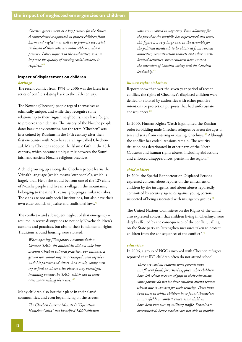<span id="page-15-0"></span>*Chechen government as a key priority for the future. A comprehensive approach to protect children from harm and neglect – as well as to promote the social inclusion of those who are vulnerable – is also a priority. Policy support to the authorities, so as to improve the quality of existing social services, is required.*<sup>64</sup>

### **impact of displacement on children**

#### *heritage*

The recent conflict from 1994 to 2006 was the latest in a series of conflicts dating back to the 17th century.

The Noxche (Chechen) people regard themselves as ethnically unique, and while they recognise some relationship to their Ingush neighbours, they have fought to preserve their identity. The history of the Noxche people dates back many centuries, but the term "Chechen" was first coined by Russians in the 17th century after their first encounter with Noxches at a village called Chechenaul. Many Chechens adopted the Islamic faith in the 18th century, which became a unique mix between the Sunni faith and ancient Noxche religious practices.

A child growing up among the Chechen people learns the Veinakh language (which means "our people"), which is largely oral. He or she would be from one of the 125 clans of Noxche people and live in a village in the mountains, belonging to the nine Tukums, groupings similar to tribes. The clans are not only social institutions, but also have their own elder council of justice and traditional laws.<sup>65</sup>

The conflict – and subsequent neglect of that emergency – resulted in severe disruptions to not only Noxche children's customs and practices, but also to their fundamental rights. Traditions around housing were violated:

> *When opening [Temporary Accommodation Centres] TACs, the authorities did not take into account Chechen cultural practices. For instance, a grown son cannot stay in a cramped room together with his parents and sisters. As a result, young men try to find an alternative place to stay overnight, including outside the TACs, which can in some cases mean risking their lives.*<sup>66</sup>

Many children also lost their place in their clans/ communities, and even began living on the streets:

> *The Chechen Interior Ministry's "Operation Homeless Child" has identified 1,000 children*

*who are involved in vagrancy. Even allowing for the fact that the republic has experienced two wars, this figure is a very large one. In the scramble for the political dividends to be obtained from various amnesties, reconstruction projects and other muchbruited activities, street children have escaped the attention of Chechen society and the Chechen leadership.*<sup>67</sup>

#### *human rights violations*

Reports show that over the seven-year period of recent conflict, the rights of Chechnya's displaced children were denied or violated by authorities with either punitive intentions or protection purposes that had unfortunate consequences.<sup>68</sup>

In 2000, Human Rights Watch highlighted the Russian order forbidding male Chechen refugees between the ages of ten and sixty from entering or leaving Chechnya.<sup>69</sup> Although the conflict has ended, tensions remain. The security situation has deteriorated in other parts of the North Caucasus and human rights abuses, including abductions and enforced disappearances, persist in the region.<sup>70</sup>

#### *child soldiers*

In 2004 the Special Rapporteur on Displaced Persons expressed concern about reports on the enlistment of children by the insurgents, and about abuses reportedly committed by security agencies against young persons suspected of being associated with insurgency groups.<sup>71</sup>

The United Nations Committee on the Rights of the Child also expressed concern that children living in Chechnya were deeply affected by the consequences of the conflict, calling on the State party to "strengthen measures taken to protect children from the consequences of the conflict".<sup>72</sup>

#### *education*

In 2006, a group of NGOs involved with Chechen refugees reported that IDP children often do not attend school.

> *There are various reasons: some parents have insufficient funds for school supplies; other children have left school because of gaps in their education; some parents do not let their children attend remote schools due to concern for their security. There have been cases in which children have found themselves in minefields or combat zones; some children have been run over by military traffic. Schools are overcrowded; hence teachers are not able to provide*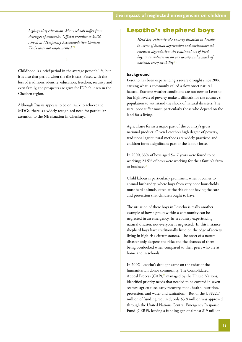*high-quality education. Many schools suffer from shortages of textbooks. Official promises to build schools at [Temporary Accommodation Centres] TACs were not implemented.*<sup>73</sup>

#### §

Childhood is a brief period in the average person's life, but it is also that period when the die is cast. Faced with the loss of traditions, identity, education, freedom, security and even family, the prospects are grim for IDP children in the Chechen region.

Although Russia appears to be on track to achieve the MDGs, there is a widely recognized need for particular attention to the NE situation in Chechnya.

### **Lesotho's shepherd boys**

*Herd boys epitomise the poverty situation in Lesotho in terms of human deprivation and environmental resources degradation; the continual use of herd boys is an indictment on our society and a mark of national irresponsibility.*<sup>74</sup>

#### **background**

Lesotho has been experiencing a severe drought since 2006 causing what is commonly called a slow onset natural hazard. Extreme weather conditions are not new to Lesotho, but high levels of poverty make it difficult for the country's population to withstand the shock of natural disasters. The rural poor suffer most, particularly those who depend on the land for a living.

Agriculture forms a major part of the country's gross national product. Given Lesotho's high degree of poverty, traditional agricultural methods are widely practiced and children form a significant part of the labour force.

In 2000, 33% of boys aged 5–17 years were found to be working; 23.5% of boys were working for their family's farm or business.75

Child labour is particularly prominent when it comes to animal husbandry, where boys from very poor households must herd animals, often at the risk of not having the care and protection that children ought to have.

The situation of these boys in Lesotho is really another example of how a group within a community can be neglected in an emergency. In a country experiencing natural disaster, not everyone is neglected. In this instance shepherd boys have traditionally lived on the edge of society, living in high-risk circumstances. The onset of a natural disaster only deepens the risks and the chances of them being overlooked when compared to their peers who are at home and in schools.

In 2007, Lesotho's drought came on the radar of the humanitarian donor community. The Consolidated Appeal Process (CAP), $\frac{76}{6}$  managed by the United Nations, identified priority needs that needed to be covered in seven sectors: agriculture, early recovery, food, health, nutrition, protection, and water and sanitation.<sup>77</sup> But of the US\$22.7 million of funding required, only \$3.8 million was approved through the United Nations Central Emergency Response Fund (CERF), leaving a funding gap of almost \$19 million.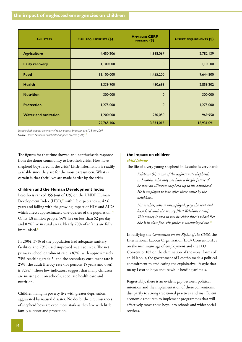| <b>CLUSTERS</b>             | <b>FULL REQUIREMENTS (\$)</b> | <b>APPROVED CERF</b><br><b>FUNDING</b> $(\$)$ | <b>UNMET REQUIREMENTS (\$)</b> |
|-----------------------------|-------------------------------|-----------------------------------------------|--------------------------------|
| <b>Agriculture</b>          | 4,450,206                     | 1,668,067                                     | 2,782,139                      |
| <b>Early recovery</b>       | 1,100,000                     | $\mathbf 0$                                   | 1,100,00                       |
| Food                        | 11,100,000                    | 1,455,200                                     | 9,644,800                      |
| <b>Health</b>               | 3,339,900                     | 480,698                                       | 2,859,202                      |
| <b>Nutrition</b>            | 300,000                       | $\mathbf 0$                                   | 300,000                        |
| <b>Protection</b>           | 1,275,000                     | $\mathbf 0$                                   | 1,275,000                      |
| <b>Water and sanitation</b> | 1,200,000                     | 230,050                                       | 969,950                        |
|                             | 22,765,106                    | 3,834,015                                     | 18,931,091                     |

*Lesotho flash appeal: Summary of requirements, by sector, as of 28 July 2007* **Source:** United Nations Consolidated Appeals Process (CAP)<sup>7</sup>

The figures for that time showed an unenthusiastic response from the donor community to Lesotho's crisis. How have shepherd boys fared in the crisis? Little information is readily available since they are for the most part unseen. What is certain is that their lives are made harder by the crisis.

#### **children and the Human Development Index**

Lesotho is ranked 155 (out of 179) on the UNDP Human Development Index (HDI),<sup>79</sup> with life expectancy at 42.6 years and falling with the growing impact of HIV and AIDS which affects approximately one-quarter of the population.<sup>80</sup> Of its 1.8 million people, 56% live on less than \$2 per day and 82% live in rural areas. Nearly 70% of infants are fully immunised.<sup>81</sup>

In 2004, 37% of the population had adequate sanitary facilities and 79% used improved water sources. The net primary school enrolment rate is 87%, with approximately 73% reaching grade 5, and the secondary enrolment rate is 25%; the adult literacy rate (for persons 15 years and over) is 82%.<sup>82</sup> These low indicators suggest that many children are missing out on schools, adequate health care and nutrition.

Children living in poverty live with greater deprivation, aggravated by natural disaster. No doubt the circumstances of shepherd boys are even more stark as they live with little family support and protection.

## **the impact on children**

#### *child labour*

The life of a very young shepherd in Lesotho is very hard:

*Kelebone (6) is one of the unfortunate shepherds in Lesotho, who may not have a bright future if he stays an illiterate shepherd up to his adulthood. He is employed to look after three cattle by the neighbor...* 

*His mother, who is unemployed, pays the rent and buys food with the money [that Kelebone earns]. This money is used to pay his elder sister's school fees. She is in class five. His father is unemployed too.*<sup>83</sup>

In ratifying the *Convention on the Rights of the Child*, the International Labour Organization(ILO) Convention138 on the minimum age of employment and the ILO Convention182 on the elimination of the worst forms of child labour, the government of Lesotho made a political commitment to eradicating the exploitative lifestyle that many Lesotho boys endure while herding animals.

Regrettably, there is an evident gap between political intention and the implementation of these conventions, due partly to strong traditional practices and insufficient economic resources to implement programmes that will effectively move these boys into schools and wider social services.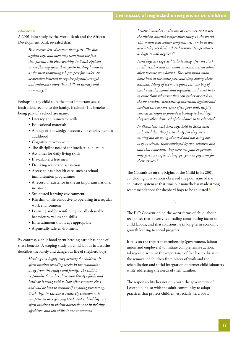#### *education*

A 2001 joint study by the World Bank and the African Development Bank revealed that:

> *Boys receive less education than girls...The bias against boys and men may stem from the fact that parents still view working in South African mines [having spent their youth herding livestock] as the most promising job prospect for males, an occupation believed to require physical strength and endurance more than skills in literacy and numeracy.*<sup>84</sup>

Perhaps in any child's life the most important social institution, second to the family, is school. The benefits of being part of a school are many:

- • Literacy and numeracy skills
- • Educational materials
- • A range of knowledge necessary for employment in adulthood
- Cognitive development
- The discipline needed for intellectual pursuits
- • Activities for daily living skills
- • If available, a free meal
- Drinking water and sanitation
- • Access to basic health care, such as school immunisation programmes
- • A record of existence in the an important national institution
- • Structured learning environment
- Rhythm of life conducive to operating in a regular work environment
- • Learning and/or reinforcing socially desirable behaviours, values and skills
- • Entertainment that is age appropriate
- A generally safe environment

By contrast, a childhood spent herding cattle has none of these benefits. A scoping study on child labour in Lesotho describes the lonely and dangerous life of shepherd boys:

> *Herding is a highly risky activity for children. It often involves spending weeks in the mountains away from the village and family. The child is responsible for either their own family's flocks and herds or is being paid to look after someone else's and will be held to account if anything goes wrong. Stock theft in Lesotho is relatively common as is competition over grazing land, and so herd boys are often involved in violent altercations or in fighting off thieves and loss of life is not uncommon.*

*Lesotho's weather is also one of extremes and it has the highest diurnal temperature range in the world. This means that winter temperatures can be as low as –20 degrees [Celsius] and summer temperatures as high as +40 degrees C.* 

*Herd boys are expected to be looking after the stock in all weather and in remote mountain areas which often become snowbound. They will build small basic huts at the cattle posts and sleep among their animals. Many of them are given just one bag of mealie meal a month and vegetables and meat have to come from whatever they can gather or catch in the mountains. Standards of nutrition, hygiene and medical care are therefore often poor and, despite various attempts to provide schooling to herd boys they are often deprived of the chance to be educated.*

*In discussions with herd boys held in 2002 most indicated that they particularly felt they were missing out on being educated and not being able to go to school. Those employed by non-relatives also said that sometimes they were not paid or perhaps only given a couple of sheep per year in payment for their services.*<sup>85</sup>

The Committee on the Rights of the Child in its 2001 concluding observations observed the poor state of the education system at that time but nonetheless made strong recommendations for shepherd boys to be educated.<sup>86</sup>

#### §

The ILO Convention on the worst forms of child labour recognises that poverty is a leading contributing factor to child labour, and that solutions lie in long-term economic growth leading to social progress.

It falls on the tripartite membership (government, labour union and employers) to initiate comprehensive action, taking into account the importance of free basic education, the removal of children from places of work and the rehabilitation and social integration of former child labourers while addressing the needs of their families.

The responsibility lies not only with the government of Lesotho but also with the adult community to adopt practices that protect children, especially herd boys.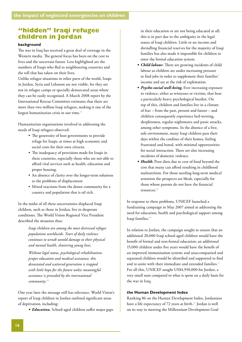## <span id="page-19-0"></span>**"hidden" Iraqi refugee children in Jordan**

#### **background**

The war in Iraq has received a great deal of coverage in the Western media. The general focus has been on the cost to lives and the uncertain future. Less highlighted are the numbers of Iraqis who fled to neighbouring countries and the toll that has taken on their lives.

Unlike refugee situations in other parts of the world, Iraqis in Jordan, Syria and Lebanon are not visible, for they are not in refugee camps or specially demarcated areas where they can be easily recognised. A March 2008 report by the International Rescue Committee estimates that there are more than two million Iraqi refugees, making it one of the largest humanitarian crisis in our time.<sup>87</sup>

Humanitarian organisations involved in addressing the needs of Iraqi refugees observed:

- The generosity of host governments to provide refuge for Iraqis, at times at high economic and social costs for their own citizens.
- The inadequacy of provisions made for Iraqis in these countries, especially those who are not able to afford vital services such as health, education and proper housing.
- An absence of clarity over the longer-term solutions to the problems of displacement
- Mixed reactions from the donor community for a country and population that is oil rich.

In the midst of all these uncertainties displaced Iraqi children, such as those in Jordan, live in desperate conditions. The World Vision Regional Vice President described the situation thus:

> *Iraqi children are among the most distressed refugee populations worldwide. Years of daily violence continues to wreak untold damage to their physical and mental health, shattering young lives.*

*Without legal status, psychological rehabilitation, proper education and medical assistance, this devastated and scattered generation is trapped with little hope for the future unless meaningful assistance is provided by the international community.*<sup>88</sup>

One year later the message still has relevance. World Vision's report of Iraqi children in Jordan outlined significant areas of deprivation, including:

• *Education*. School-aged children suffer major gaps

in their education or are not being educated at all; this is in part due to the ambiguity in the legal status of Iraqi children. Little or no income and dwindling financial reserves for the majority of Iraqi families has also made it impossible for children to enter the formal education system.

- *• Child labour.* There are growing incidents of child labour as children are under increasing pressure to find jobs in order to supplement their families' income and are at the risk of exploitation.
- *• Psycho-social well-being.* Ever increasing exposure to violence, either as witnesses or victims, that bear a particularly heavy psychological burden. On top of this, children and families live in a climate of fear – from the past, present and future – and children consequently experience bed-wetting, sleeplessness, regular nightmares and panic attacks, among other symptoms. In the absence of a free, safe environment, many Iraqi children pass their days within the confines of their homes, feeling frustrated and bored, with minimal opportunities for social interaction. There are also increasing incidents of domestic violence.
- Health. Poor diets due to cost of food beyond the cost that many can afford resulting in childhood malnutrition. For those needing long-term medical attention the prospects are bleak, especially for those whose parents do not have the financial resources.89

In response to these problems, UNICEF launched a fundraising campaign in May 2007 aimed at addressing the need for education, health and psychological support among Iraqi families.<sup>90</sup>

In relation to Jordan, the campaign sought to ensure that an additional 20,000 Iraqi school-aged children would have the benefit of formal and non-formal education; an additional 15,000 children under five years would have the benefit of an improved immunisation system; and unaccompanied and separated children would be identified and supported to find and re-unite with their immediate and extended families.<sup>91</sup> For all this, UNICEF sought US\$4,950,000 for Jordan, a very small sum compared to what is spent on a daily basis for the war in Iraq.

#### **the Human Development Index**

Ranking 86 on the Human Development Index, Jordanians have a life expectancy of 72 years at birth.<sup>92</sup> Jordan is well on its way in meeting the Millennium Development Goal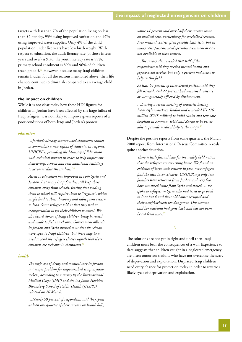targets with less than 7% of the population living on less than \$2 per day, 93% using improved sanitation and 97% using improved water supplies. Only 4% of the child population under five years have low birth weight. With respect to education, the adult literacy rate (of those fifteen years and over) is 91%, the youth literacy rate is 99%, primary school enrolment is 89% and 96% of children reach grade 5.93 However, because many Iraqi children remain hidden for all the reasons mentioned above, their life chances continue to diminish compared to an average child in Jordan.

#### **the impact on children**

While it is not clear today how these HDI figures for children in Jordan have been affected by the large influx of Iraqi refugees, it is not likely to improve given reports of a poor conditions of both Iraqi and Jordan's poorest.

#### *education*

*…Jordan's already overcrowded classrooms cannot accommodate a new influx of students. In response, UNICEF is providing the Ministry of Education with technical support in order to help implement double-shift schools and rent additional buildings*  to accommodate the students.<sup>9</sup>

*Access to education has improved in both Syria and Jordan. But many Iraqi families still keep their children away from schools, fearing that sending them to school will require them to "register", which might lead to their discovery and subsequent return to Iraq. Some refugees told us that they had no transportation to get their children to school. We also heard stories of Iraqi children being harassed and made to feel unwelcome. Government officials in Jordan and Syria stressed to us that the schools were open to Iraqi children, but there may be a need to send the refugees clearer signals that their children are welcome in classrooms.*<sup>95</sup>

#### *health*

*The high cost of drugs and medical care in Jordan is a major problem for impoverished Iraqi asylumseekers, according to a survey by the International Medical Corps (IMC) and the US Johns Hopkins Bloomberg School of Public Health (JHSPH) released on 26 March.* 

*…Nearly 50 percent of respondents said they spent at least one quarter of their income on health bills,* 

*while 14 percent said over half their income went on medical care, particularly for specialised services. Free medical centres often provide basic tests, but in many cases patients need specialist treatment or care not available at these centres.*

*…The survey also revealed that half of the respondents said they needed mental health and psychosocial services but only 5 percent had access to help in this field.* 

*At least 64 percent of interviewed patients said they felt stressed, and 22 percent had witnessed violence or were generally affected by displacement.* 

*…During a recent meeting of countries hosting Iraqi asylum-seekers, Jordan said it needed JD 176 million (\$248 million) to build clinics and renovate hospitals in Amman, Irbid and Zarqa to be better able to provide medical help to the Iraqis.*<sup>96</sup>

Despite the positive reports from some quarters, the March 2008 report from International Rescue Committee reveals quite another situation.

> *There is little factual base for the widely held notion that the refugees are returning home. We found no evidence of large-scale return; in fact, most refugees find the idea inconceivable. UNHCR says only two families have returned from Jordan and very few have ventured home from Syria and stayed … we spoke to refugees in Syria who had tried to go back to Iraq but found their old homes occupied and their neighborhoods too dangerous. One woman said her husband had gone back and has not been heard from since.*<sup>97</sup>

> > §

The solutions are not yet in sight and until then Iraqi children must bear the consequences of a war. Experience to date suggests that children caught in a neglected emergency are often tomorrow's adults who have not overcome the scars of deprivation and exploitation. Displaced Iraqi children need every chance for protection today in order to reverse a likely cycle of deprivation and exploitation.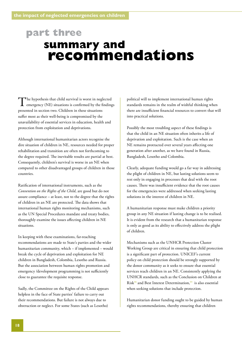## <span id="page-21-0"></span>**part three summary and recommendations**

The hypothesis that child survival is worst in neglected emergency (NE) situations is confirmed by the findings presented in section two. Children in these situations suffer most as their well-being is compromised by the unavailability of essential services in education, health and protection from exploitation and deprivations.

Although international humanitarian actors recognise the dire situation of children in NE, resources needed for proper rehabilitation and transition are often not forthcoming to the degree required. The inevitable results are partial at best. Consequently, children's survival is worse in an NE when compared to other disadvantaged groups of children in those countries.

Ratification of international instruments, such as the *Convention on the Rights of the Child*, are good but do not assure compliance – at least, not to the degree that the rights of children in an NE are protected. The data shows that international human rights monitoring mechanisms, such as the UN Special Procedures mandate and treaty bodies, thoroughly examine the issues affecting children in NE situations.

In keeping with these examinations, far-reaching recommendations are made to State's parties and the wider humanitarian community, which – if implemented – would break the cycle of deprivation and exploitation for NE children in Bangladesh, Colombia, Lesotho and Russia. But the association between human rights promotion and emergency /development programming is not sufficiently close to guarantee the requisite response.

Sadly, the Committee on the Rights of the Child appears helpless in the face of State parties' failure to carry out their recommendations. But failure is not always due to obstruction or neglect. For some States (such as Lesotho)

political will to implement international human rights standards remains in the realm of wishful thinking when there are insufficient financial resources to convert that will into practical solutions.

Possibly the most troubling aspect of these findings is that the child in an NE situation often inherits a life of deprivation and exploitation. Such is the case when an NE remains protracted over several years affecting one generation after another, as we have found in Russia, Bangladesh, Lesotho and Colombia.

Clearly, adequate funding would go a far way in addressing the plight of children in NE, but lasting solutions seem to rest only in engaging in processes that deal with the root causes. There was insufficient evidence that the root causes for the emergencies were addressed when seeking lasting solutions in the interest of children in NE.

A humanitarian response must make children a priority group in any NE situation if lasting change is to be realised. It is evident from the research that a humanitarian response is only as good as its ability to effectively address the plight of children.

Mechanisms such as the UNHCR Protection Cluster Working Group are critical in ensuring that child protection is a significant part of protection. UNICEF's current policy on child protection should be strongly supported by the donor community as it seeks to ensure that essential services reach children in an NE. Consistently applying the UNHCR standards, such as the Conclusion on Children at Risk98 and Best Interest Determination,99 is also essential when seeking solutions that include protection.

Humanitarian donor funding ought to be guided by human rights recommendations, thereby ensuring that children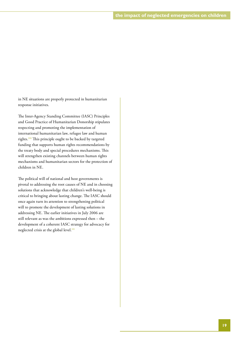in NE situations are properly protected in humanitarian response initiatives.

The Inter-Agency Standing Committee (IASC) Principles and Good Practice of Humanitarian Donorship stipulates respecting and promoting the implementation of international humanitarian law, refugee law and human rights.100 This principle ought to be backed by targeted funding that supports human rights recommendations by the treaty body and special procedures mechanisms. This will strengthen existing channels between human rights mechanisms and humanitarian sectors for the protection of children in NE.

The political will of national and host governments is pivotal to addressing the root causes of NE and in choosing solutions that acknowledge that children's well-being is critical to bringing about lasting change. The IASC should once again turn its attention to strengthening political will to promote the development of lasting solutions in addressing NE. The earlier initiatives in July 2006 are still relevant as was the ambitions expressed then – the development of a coherent IASC strategy for advocacy for neglected crisis at the global level.<sup>101</sup>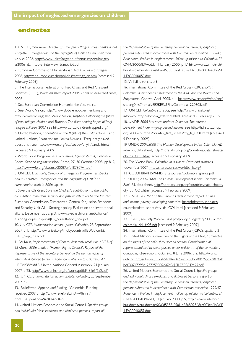#### <span id="page-23-0"></span>**endnotes**

1. UNICEF, *Dan Toole, Director of Emergency Programmes speaks about 'Forgotten Emergencies' and the highlights of UNICEF's humanitarian work in 2006*[, http://www.unicef.org/about/annualreport/images/](http://www.unicef.org/about/annualreport/images/ar2006_dan_toole_interview_transcript.pdf) ar2006\_dan\_toole\_interview\_transcript.pdf

2. European Commission Humanitarian Aid, *Policies – Strategies*, 2008, [http://ec.europa.eu/echo/policies/strategy\\_en.htm \[ac](http://ec.europa.eu/echo/policies/strategy_en.htm)cessed 9 February 2009]

3. The International Federation of Red Cross and Red Crescent Societies (IFRC), *World disasters report 2006: Focus on neglected crises*, 2006

4. See European Commission Humanitarian Aid, *op. cit.*

5. See World Vision, [http://www.globalempowerment.org an](http://www.globalempowerment.org)d [http://www.wvi.org;](http://www.wvi.org) also World Vision, *Trapped! Unlocking the future of Iraqi refugee children* and *Trapped! The disappearing hopes of Iraqi refugee children*, 2007, see <http://www.iraqichildrentrapped.org/> 6. United Nations, *Convention on the Rights of the Child*, article 1 and United Nations, *Youth and the United Nations*, "Frequently asked questions", see<http://www.un.org/esa/socdev/unyin/qanda.htm#1> [accessed 9 February 2009]

7. World Food Programme, *Policy issues, Agenda item 4*, Executive Board, Second regular session, Rome, 27–30 October 2008, pp 8–9, <http://www.wfp.org/eb/docs/2008/wfp187807~1.pdf>

8. UNICEF, *Dan Toole, Director of Emergency Programmes speaks about 'Forgotten Emergencies' and the highlights of UNICEF's humanitarian work in 2006*, *op. cit.*

9. Save the Children, *Save the Children's contribution to the public consultation "Freedom, security and justice: What will be the future?"*, European Commission, Directorate-General for Justice, Freedom and Security Unit A1 – Strategic policy, Evaluation and Institutional [affairs, December 2008, p 3, www.savethechildren.net/alliance/](http://www.savethechildren.net/alliance/europegroup/europubs/JLS_consultation_final.pdf) europegroup/europubs/JLS\_consultation\_final.pdf

10. UNICEF, *Humanitarian action update: Colombia*, 28 September [2007, p 1, http://www.unicef.org/infobycountry/files/Colombia\\_](http://www.unicef.org/infobycountry/files/Colombia_HAU_Sep_2007.pdf) HAU\_Sep\_2007.pdf

11. W Kälin, *Implementation of General Assembly resolution 60/251of 15 March 2006 entitled "Human Rights Council", Report of the Representative of the Secretary-General on the human rights of internally displaced persons, Addendum, Mission to Colombia*, A/ HRC/4/38/Add.3, United Nations General Assembly, 24 January 2007, p 25,<http://www.unhcr.org/refworld/pdfid/461e3f5a2.pdf> 12. UNICEF, *Humanitarian action update: Colombia*, 28 September 2007, p 6

13. ReliefWeb, *Appeals and funding*, "Colombia: Funding [received 2009", http://www.reliefweb.int/rw/fts.nsf/](http://www.reliefweb.int/rw/fts.nsf/doc105?OpenForm&rc=2&cc=col) doc105?OpenForm&rc=2&cc=col

14. United Nations Economic and Social Council, *Specific groups and individuals: Mass exoduses and displaced persons, report of* 

*the Representative of the Secretary General on internally displaced persons submitted in accordance with Commission resolution 1999/47, Addendum, Profiles in displacement: follow-up mission to Colombia*, E/ CN.4/2000/83/Add.1, 11 January 2000, p 17, http://www.unhchr.ch/ [huridocda/huridoca.nsf/0/6d5358107a11e85a802568ac003ea6b6/\\$F](http://www.unhchr.ch/huridocda/huridoca.nsf/0/6d5358107a11e85a802568ac003ea6b6/$FILE/G0010059.doc) ILE/G0010059.doc

15. W Kälin, *op. cit.*, p 9

16. International Committee of the Red Cross (ICRC), *IDPs in Colombia: a joint needs assessment by the ICRC and the World Food Programme*[, Geneva, April 2005, p 4, http://www.icrc.org/Web/eng/](http://www.icrc.org/Web/eng/siteeng0.nsf/htmlall/6B2KER/$File/Colombia_220305.pdf) siteeng0.nsf/htmlall/6B2KER/\$File/Colombia\_220305.pdf 17. UNICEF, *Colombia statistics*, see http://www.unicef.org/ [infobycountry/colombia\\_statistics.html \[accessed 9 February 2](http://www.unicef.org/infobycountry/colombia_statistics.html)009] 18. UNDP, *2008 Statistical update: Colombia. The Human Development Index – going beyond income*, see http://hdrstats.undp. [org/2008/countries/country\\_fact\\_sheets/cty\\_fs\\_COL.html \[accesse](http://hdrstats.undporg/2008/countries/country_fact_sheets/cty_fs_COL.html)d

#### 9 February 2009]

19. UNDP, *2007/2008 The Human Development Index: Colombia HDI Rank 75*[, data sheet, http://hdrstats.undp.org/countries/data\\_sheets/](http://hdrstats.undp.org/countries/data_sheets/cty_ds_COL.html) cty\_ds\_COL.html [accessed 9 February 2009]

20. The World Bank, *Colombia at a glance: Data and statistics*, November 2007, <http://siteresources.worldbank.org/>

INTCOLUMBIAINSPANISH/Resources/Colombia\_glance.pdf 21. UNDP, *2007/2008 The Human Development Index: Colombia HDI Rank 75*[, data sheet, http://hdrstats.undp.org/countries/data\\_sheets/](http://hdrstats.undp.org/countries/data_sheets/INTCOLUMBIAINSPANISH/Resources/Colombia_glance.pdf)

cty\_ds\_COL.html [accessed 9 February 2009] 22. UNDP, *2007/2008 The Human Development Report: Human and income poverty, developing countries*, http://hdrstats.undp.org/ countries/data\_sheets/cty\_ds\_COL.html [accessed 9 February 2009]

[23. USAID, see http://www.usaid.gov/policy/budget/cbj2005/lac/pdf/](http://www.usaid.gov/policy/budget/cbj2005/lac/pdf/colombia_cbj_fy05.pdf) colombia\_cbj\_fy05.pdf [accessed 9 February 2009]

24. International Committee of the Red Cross (ICRC), *op.cit.,* p 3 25. United Nations, *Convention on the Rights of the Child, Committee on the rights of the child, forty-second session: Consideration of reports submitted by state parties under article 44 of the convention. Concluding observations: Colombia*, 8 June 2006, p 2, http://www. [unhchr.ch/tbs/doc.nsf/317ab54d16e0e6aac1256bdd0026bd27/0242b](http://www.unhchr.ch/tbs/doc.nsf/317ab54d16e0e6aac1256bdd0026bd27/0242bbd030747298c1257259002c07d0/$FILE/G0642477.pdf) bd030747298c1257259002c07d0/\$FILE/G0642477.pdf

26. United Nations Economic and Social Council, *Specific groups and individuals: Mass exoduses and displaced persons, report of the Representative of the Secretary General on internally displaced persons submitted in accordance with Commission resolution 1999/47, Addendum, Profiles in displacement: follow-up mission to Colombia*, E/ CN.4/2000/83/Add.1, 11 January 2000, p 9, http://www.unhchr.ch/ [huridocda/huridoca.nsf/0/6d5358107a11e85a802568ac003ea6b6/\\$F](http://www.unhchr.ch/huridocda/huridoca.nsf/0/6d5358107a11e85a802568ac003ea6b6/$FILE/G0010059.doc) ILE/G0010059.doc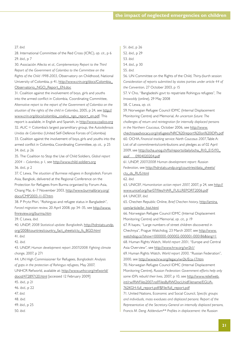#### 27. *ibid.*

28. International Committee of the Red Cross (ICRC), *op. cit.*, p 6 29. *ibid.*, p 7

30. Asociación Afecto *et al., Complementary Report to the Third Report of the Government of Colombia to the Committee on the Rights of the Child 1998-2003*, Observatory on Childhood, National [University of Colombia, p 41, http://www.crin.org/docs/Colombia\\_](http://www.crin.org/docs/Colombia_Observatorio_NGO_Report_EN.doc) Observatorio\_NGO\_Report\_EN.doc

31. Coalition against the involvement of boys, girls and youths into the armed conflict in Colombia, Coordinating Committee, *Alternative report to the report of the Government of Colombia on the situation of the rights of the child in Colombia*, 2005, p 24, see [http://](http://www.crin.org/docs/colombia_coalico_ngo_report_en.pdf) [www.crin.org/docs/colombia\\_coalico\\_ngo\\_report\\_en.pdf.](http://www.crin.org/docs/colombia_coalico_ngo_report_en.pdf) This report is available, in English and Spanish, in <http://www.coalico.org> 32. AUC = Colombia's largest paramilitary group, the *Autodefensas Unidas de Colombia* (United Self-Defence Forces of Colombia) 33. Coalition against the involvement of boys, girls and youths into the armed conflict in Colombia, Coordinating Committee, *op. cit.*, p 25 34. *ibid.*, p 26

35. The Coalition to Stop the Use of Child Soldiers, *Global report 2004 – Colombia*, p 1, see <http://www.child-soldiers.org> 36. *ibid.*, p 2

37. C Lewa, *The situation of Burmese refugees in Bangladesh*, Forum Asia, Bangkok, delivered at the Regional Conference on the Protection for Refugees from Burma organised by Forum-Asia, [Chiang Mai, 6–7 November 2003, http://www.burmalibrary.org/](http://www.burmalibrary.org/docs/CMP2003-11-07.htm) docs/CMP2003-11-07.htm

38. P Prytz Phiri, "Rohingyas and refugee status in Bangladesh", *Forced migration review*[, 20 April 2008, pp 34–35, see http://www.](http://www.fmreview.org/burma.htm) fmreview.org/burma.htm

39. C Lewa, *ibid.*

40. UNDP, *2008 Statistical update: Bangladesh*, http://hdrstats.undp. [org/2008/countries/country\\_fact\\_sheets/cty\\_fs\\_BGD.html](http://hdrstats.undp.org/2008/countries/country_fact_sheets/cty_fs_BGD.html)

41. *ibid.*

42. *ibid.*

43. UNDP, *Human development report 2007/2008: Fighting climate change*, 2007, p 271

44. UN High Commissioner for Refugees, *Bangladesh: Analysis of gaps in the protection of Rohingya refugees*, May 2007,

[UNHCR Refworld, available at: http://www.unhcr.org/refworld/](http://www.unhcr.org/refworld/docid/472897120.html) docid/472897120.html [accessed 12 February 2009]

45. *ibid.*, p 21

46. *ibid.*, p 22

47. *ibid.*

48. *ibid.*

- 49. *ibid.*, p 25
- 50. *ibid.*
- 51. *ibid.*, p 26
- 52. *ibid.*, p 29
- 53. *ibid.*
- 54. *ibid.*, p 30
- 55. *ibid.*

56. UN Committee on the Rights of the Child, *Thirty-fourth session: Consideration of reports submitted by states parties under article 44 of the Convention*, 27 October 2003, p 15

57. V Cho, "Bangladeshi govt to repatriate Rohingya refugees", *The Irrawaddy* (online), 29 May 2008

58. C Lewa, *op. cit.*

59. Norwegian Refugee Council IDMC (Internal Displacement Monitoring Centre) and Memorial, *An uncertain future: The challenges of return and reintegration for internally displaced persons in the Northern Caucasus*, October 2006, see http://www. [chechnyaadvocacy.org/refugees/NRC%20report%20on%20IDPs.pdf](http://www.chechnyaadvocacy.org/refugees/NRC%20report%20on%20IDPs.pdf) 60. OCHA, *Financial tracking service: North Caucasus 2007*, Table A: List of all commitments/contributions and pledges as of 02 April [2009, see http://ocha.unog.ch/fts/reports/daily/ocha\\_R10\\_E15193\\_](http://ocha.unog.ch/fts/reports/daily/ocha_R10_E15193_asof___0904020204.pdf) asof\_\_\_0904020204.pdf

61. UNDP, *2007/2008 Human development report: Russian Federation*[, see http://hdrstats.undp.org/countries/data\\_sheets/](http://hdrstats.undp.org/countries/data_sheets/cty_ds_RUS.html)

cty\_ds\_RUS.html

62. *ibid.*

63. UNICEF, *Humanitarian action report 2007*, 2007, p 24, see [http://](http://www.unicef.org/har07/files/HAR_FULLREPORT2006.pdf) [www.unicef.org/har07/files/HAR\\_FULLREPORT2006.pdf](http://www.unicef.org/har07/files/HAR_FULLREPORT2006.pdf) 64. UNICEF, *ibid.*

[65. Chechen Republic Online,](http://amina.com/article/br_hist.html) *Brief Chechen history*, http://amina. com/article/br\_hist.html

66. Norwegian Refugee Council IDMC (Internal Displacement Monitoring Centre) and Memorial, *op. cit.*, p 19

67. R Isayev, "Large numbers of street children discovered in [Chechnya", Prague Watchdog, 23 March 2007, see http://www.](http://www.watchdog.cz/?show=000000-000002-000001-000186&lang=1)

watchdog.cz/?show=000000-000002-000001-000186&lang=1

68. Human Rights Watch, *World report 2001*, "Europe and Central Asia Overview", see <http://www.hrw.org/wr2k1/>

69. Human Rights Watch, *World report 2000*, "Russian Federation", 2000, see<http://www.hrw.org/legacy/wr2k/Eca-17.htm>

70. Norwegian Refugee Council IDMC (Internal Displacement Monitoring Centre), *Russian Federation: Government efforts help only some IDPs rebuild their lives*, 2007, p 10, see http://www.reliefweb. [int/rw/RWFiles2007.nsf/FilesByRWDocUnidFilename/EGUA-](http://www.reliefweb.int/rw/RWFiles2007.nsf/FilesByRWDocUnidFilename/EGUA-762KGH-full_report.pdf/$File/full_report.pdf)

762KGH-full\_report.pdf/\$File/full\_report.pdf

71. United Nations, Economic and Social Council, *Specific groups and individuals, mass exoduses and displaced persons: Report of the Representative of the Secretary-General on internally displaced persons, Francis M. Deng. Addendum\*\* Profiles in displacement: the Russian*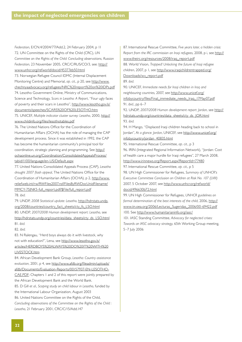*Federation*, E/CN.4/2004/77/Add.2, 24 February 2004, p 11 72. UN Committee on the Rights of the Child (CRC), *UN Committee on the Rights of the Child: Concluding observations, Russian Federation*, 23 November 2005, CRC/C/RUS/CO/3, see: [http://](http://www.unhcr.org/refworld/docid/45377eb50.html) [www.unhcr.org/refworld/docid/45377eb50.html](http://www.unhcr.org/refworld/docid/45377eb50.html)

73. Norwegian Refugee Council IDMC (Internal Displacement Monitoring Centre) and Memorial, *op. cit.*, p 20, see http://www. [chechnyaadvocacy.org/refugees/NRC%20report%20on%20IDPs.pdf](http://www.chechnyaadvocacy.org/refugees/NRC%20report%20on%20IDPs.pdf) 74. Lesotho Government Online, Ministry of Communications, Science and Technology, *Scars in Lesotho: A Report*, "Four ugly faces [of poverty and their scars in Lesotho", http://www.lesotho.gov.ls/](http://www.lesotho.gov.ls/documents/speeches/SCARS%20OF%20LESOTHO.htm) documents/speeches/SCARS%20OF%20LESOTHO.htm

75. UNICEF, *Multiple indicator cluster survey: Lesotho*, 2000, [http://](http://www.childinfo.org/files/lesothotables.pdf) [www.childinfo.org/files/lesothotables.pdf](http://www.childinfo.org/files/lesothotables.pdf)

76. The United Nations Office for the Coordination of

Humanitarian Affairs (OCHA) has the role of managing the CAP development process. Since it was established in 1992, the CAP has become the humanitarian community's principal tool for coordination, strategic planning and programming. See http:// [ochaonline.un.org/Coordination/ConsolidatedAppealsProcess/](http://ochaonline.un.org/Coordination/ConsolidatedAppealsProcess/tabid/1100/language/en-US/Default.aspx) tabid/1100/language/en-US/Default.aspx

77. United Nations Consolidated Appeals Process (CAP), *Lesotho drought 2007 flash appeal*, The United Nations Office for the [Coordination of Humanitarian Affairs \(OCHA\), p 2, http://www.](http://www.reliefweb.int/rw/RWFiles2007.nsf/FilesByRWDocUnidFilename/MMCY-75JNK5-full_report.pdf/$File/full_report.pdf) reliefweb.int/rw/RWFiles2007.nsf/FilesByRWDocUnidFilename/ MMCY-75JNK5-full\_report.pdf/\$File/full\_report.pdf

78. *ibid.*

79. UNDP, *2008 Statistical update: Lesotho*, http://hdrstats.undp. [org/2008/countries/country\\_fact\\_sheets/cty\\_fs\\_LSO.html](http://hdrstats.undp.org/2008/countries/country_fact_sheets/cty_fs_LSO.html) 80. UNDP, *2007/2008 Human development report: Lesotho*, see

[http://hdrstats.undp.org/countries/data\\_sheets/cty\\_ds\\_LSO.html](http://hdrstats.undp.org/countries/data_sheets/cty_ds_LSO.html) 81. *ibid.*

82. *ibid.*

83. N Ralengau, "Herd boys always do it with livestock, why not with education?", Lena, see http://www.lesotho.gov.ls/ [articles/HERDBOYS%20ALWAYS%20DO%20IT%20WITH%20](http://www.lesotho.gov.ls/articles/HERDBOYS%20ALWAYS%20DO%20IT%20WITH%20LIVESTOCK.htm) LIVESTOCK.htm

84. African Development Bank Group, *Lesotho: Country assistance evaluation*, 2001, p 4, see http://www.afdb.org/fileadmin/uploads/ afdb/Documents/Evaluation-Reports/00157937-EN-LESOTHO-[CAE.PDF; Chapters 1 and 2 of this report were jointly prepared by](http://www.afdb.org/fileadmin/uploads/afdb/Documents/Evaluation-Reports/00157937-EN-LESOTHO-CAE.PDF) the African Development Bank and the World Bank.

85. D Gill *et al.*, *Scoping study on child labour in Lesotho*, funded by the International Labour Organization, August 2003

86. United Nations Committee on the Rights of the Child, *Concluding observations of the Committee on the Rights of the Child : Lesotho*, 21 February 2001, CRC/C/15/Add.147

87. International Rescue Committee, *Five years later, a hidden crisis: Report from the IRC commission on Iraqi refugees*, 2008, p i, see [http://](http://www.theirc.org/resources/2008/iraq_report.pdf) [www.theirc.org/resources/2008/iraq\\_report.pdf](http://www.theirc.org/resources/2008/iraq_report.pdf)

88. World Vision, *Trapped! Unlocking the future of Iraqi refugee children*[, 2007, p 1, see http://www.iraqichildrentrapped.org/](http://www.iraqichildrentrapped.org/Downloads/wv_report.pdf)

Downloads/wv\_report.pdf

89. *ibid.*

90. UNICEF, *Immediate needs for Iraqi children in Iraq and neighbouring countries*, 2007, see http://www.unicef.org/ [infobycountry/files/Final\\_immediate\\_needs\\_Iraq\\_17May07.pdf](http://www.unicef.org/infobycountry/files/Final_immediate_needs_Iraq_17May07.pdf)

91. *ibid.*, pp 6–7

92. UNDP, *2007/2008 Human development report: Jordan*, see [http://](http://hdrstats.undp.org/countries/data_sheets/cty_ds_JOR.html) [hdrstats.undp.org/countries/data\\_sheets/cty\\_ds\\_JOR.html](http://hdrstats.undp.org/countries/data_sheets/cty_ds_JOR.html) 93. *ibid.*

94. H Mango, "Displaced Iraqi children heading back to school in Jordan", *At a glance: Jordan*[, UNICEF, see http://www.unicef.org/](http://www.unicef.org/infobycountry/jordan_40835.html) infobycountry/jordan\_40835.html

95. International Rescue Committee, *op. cit.*, p 3

96. IRIN (Integrated Regional Information Network), "Jordan: Cost of health care a major hurdle for Iraqi refugees", 27 March 2008, <http://www.irinnews.org/Report.aspx?ReportId=77480>

97. International Rescue Committee, *op. cit.*, p 5

98. UN High Commissioner for Refugees, *Summary of UNHCR's Executive Committee Conclusion on Children at Risk No. 107 (LVIII)* [2007, 5 October 2007, see http://www.unhcr.org/refworld/](http://www.unhcr.org/refworld/docid/496630b72.html) docid/496630b72.html

99. UN High Commissioner for Refugees, *UNHCR guidelines on formal determination of the best interests of the child*, 2006, http:// [www.iin.oea.org/2006/Lecturas\\_Sugeridas\\_2006/00-69422.pdf](http://www.iin.oea.org/2006/Lecturas_Sugeridas_2006/00-69422.pdf) 100. See<http://www.humanitarianinfo.org/iasc/>

101. IASC Standing Committee, *Advocacy for neglected crises: Towards an IASC advocacy strategy*, 65th Working Group meeting, 5–7 July 2006